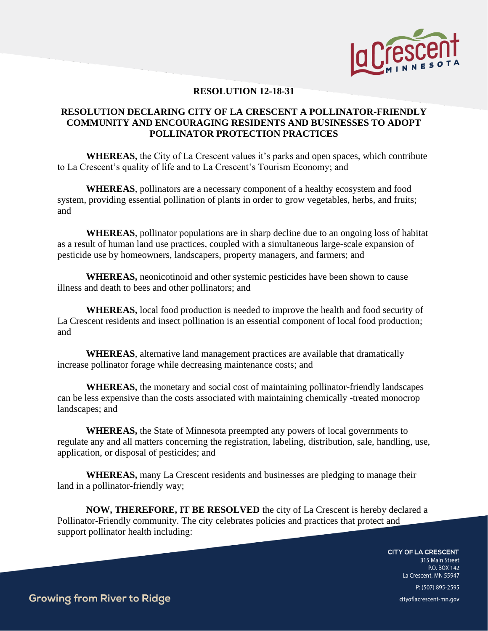

## **RESOLUTION 12-18-31**

## **RESOLUTION DECLARING CITY OF LA CRESCENT A POLLINATOR-FRIENDLY COMMUNITY AND ENCOURAGING RESIDENTS AND BUSINESSES TO ADOPT POLLINATOR PROTECTION PRACTICES**

**WHEREAS,** the City of La Crescent values it's parks and open spaces, which contribute to La Crescent's quality of life and to La Crescent's Tourism Economy; and

**WHEREAS**, pollinators are a necessary component of a healthy ecosystem and food system, providing essential pollination of plants in order to grow vegetables, herbs, and fruits; and

**WHEREAS**, pollinator populations are in sharp decline due to an ongoing loss of habitat as a result of human land use practices, coupled with a simultaneous large-scale expansion of pesticide use by homeowners, landscapers, property managers, and farmers; and

**WHEREAS,** neonicotinoid and other systemic pesticides have been shown to cause illness and death to bees and other pollinators; and

**WHEREAS,** local food production is needed to improve the health and food security of La Crescent residents and insect pollination is an essential component of local food production; and

**WHEREAS**, alternative land management practices are available that dramatically increase pollinator forage while decreasing maintenance costs; and

**WHEREAS,** the monetary and social cost of maintaining pollinator-friendly landscapes can be less expensive than the costs associated with maintaining chemically -treated monocrop landscapes; and

**WHEREAS,** the State of Minnesota preempted any powers of local governments to regulate any and all matters concerning the registration, labeling, distribution, sale, handling, use, application, or disposal of pesticides; and

**WHEREAS,** many La Crescent residents and businesses are pledging to manage their land in a pollinator-friendly way;

**NOW, THEREFORE, IT BE RESOLVED** the city of La Crescent is hereby declared a Pollinator-Friendly community. The city celebrates policies and practices that protect and support pollinator health including:

**CITY OF LA CRESCENT** 

315 Main Street P.O. BOX 142 La Crescent, MN 55947 P: (507) 895-2595 cityoflacrescent-mn.gov

**Growing from River to Ridge**